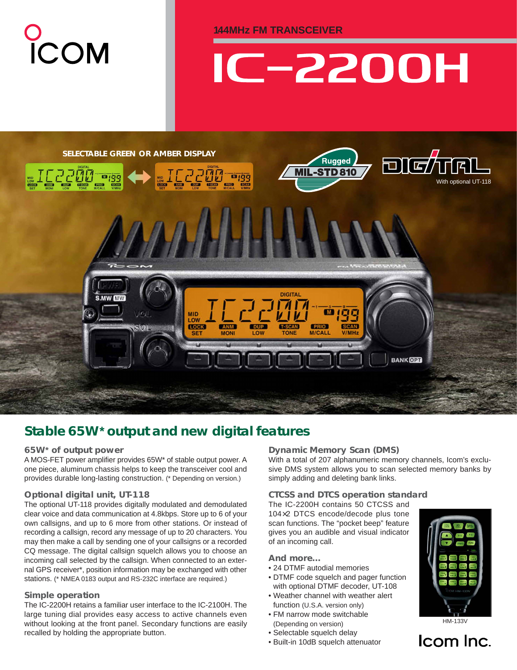**144MHz FM TRANSCEIVER**

# **C-2200H**



## *Stable 65W***\*** *output and new digital features*

#### **65W\* of output power**

A MOS-FET power amplifier provides 65W\* of stable output power. A one piece, aluminum chassis helps to keep the transceiver cool and provides durable long-lasting construction. (\* Depending on version.)

#### **Optional digital unit, UT-118**

The optional UT-118 provides digitally modulated and demodulated clear voice and data communication at 4.8kbps. Store up to 6 of your own callsigns, and up to 6 more from other stations. Or instead of recording a callsign, record any message of up to 20 characters. You may then make a call by sending one of your callsigns or a recorded CQ message. The digital callsign squelch allows you to choose an incoming call selected by the callsign. When connected to an external GPS receiver\*, position information may be exchanged with other stations. (\* NMEA 0183 output and RS-232C interface are required.)

#### **Simple operation**

The IC-2200H retains a familiar user interface to the IC-2100H. The large tuning dial provides easy access to active channels even without looking at the front panel. Secondary functions are easily recalled by holding the appropriate button.

#### **Dynamic Memory Scan (DMS)**

With a total of 207 alphanumeric memory channels, Icom's exclusive DMS system allows you to scan selected memory banks by simply adding and deleting bank links.

#### **CTCSS and DTCS operation standard**

The IC-2200H contains 50 CTCSS and 104×2 DTCS encode/decode plus tone scan functions. The "pocket beep" feature gives you an audible and visual indicator of an incoming call.

**And more…**

- 24 DTMF autodial memories
- DTMF code squelch and pager function with optional DTMF decoder, UT-108
- Weather channel with weather alert function (U.S.A. version only)
- FM narrow mode switchable (Depending on version)
- Selectable squelch delay
- Built-in 10dB squelch attenuator



HM-133V

Icom Inc.